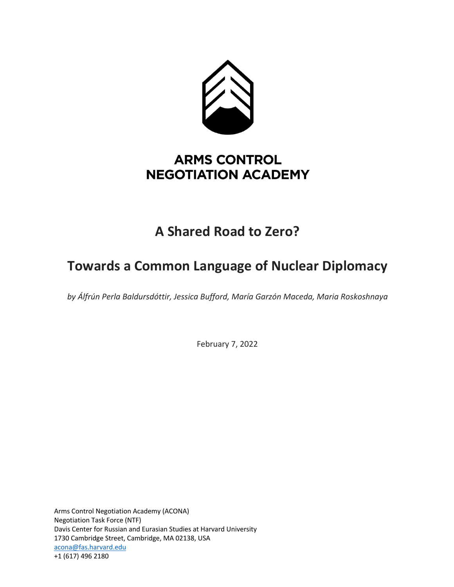

# **ARMS CONTROL NEGOTIATION ACADEMY**

# **A Shared Road to Zero?**

# **Towards a Common Language of Nuclear Diplomacy**

*by Álfrún Perla Baldursdóttir, Jessica Bufford, María Garzón Maceda, Maria Roskoshnaya*

February 7, 2022

Arms Control Negotiation Academy (ACONA) Negotiation Task Force (NTF) Davis Center for Russian and Eurasian Studies at Harvard University 1730 Cambridge Street, Cambridge, MA 02138, USA acona@fas.harvard.edu +1 (617) 496 2180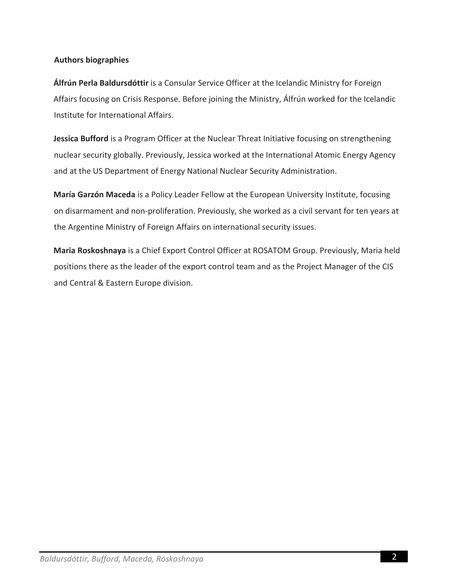## **Authors biographies**

**Álfrún Perla Baldursdóttir** is a Consular Service Officer at the Icelandic Ministry for Foreign Affairs focusing on Crisis Response. Before joining the Ministry, Álfrún worked for the Icelandic Institute for International Affairs.

**Jessica Bufford** is a Program Officer at the Nuclear Threat Initiative focusing on strengthening nuclear security globally. Previously, Jessica worked at the International Atomic Energy Agency and at the US Department of Energy National Nuclear Security Administration.

**María Garzón Maceda** is a Policy Leader Fellow at the European University Institute, focusing on disarmament and non-proliferation. Previously, she worked as a civil servant for ten years at the Argentine Ministry of Foreign Affairs on international security issues.

**Maria Roskoshnaya** is a Chief Export Control Officer at ROSATOM Group. Previously, Maria held positions there as the leader of the export control team and as the Project Manager of the CIS and Central & Eastern Europe division.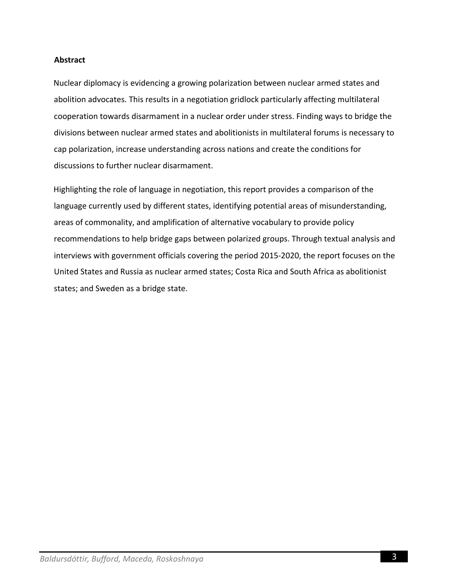## **Abstract**

Nuclear diplomacy is evidencing a growing polarization between nuclear armed states and abolition advocates. This results in a negotiation gridlock particularly affecting multilateral cooperation towards disarmament in a nuclear order under stress. Finding ways to bridge the divisions between nuclear armed states and abolitionists in multilateral forums is necessary to cap polarization, increase understanding across nations and create the conditions for discussions to further nuclear disarmament.

Highlighting the role of language in negotiation, this report provides a comparison of the language currently used by different states, identifying potential areas of misunderstanding, areas of commonality, and amplification of alternative vocabulary to provide policy recommendations to help bridge gaps between polarized groups. Through textual analysis and interviews with government officials covering the period 2015-2020, the report focuses on the United States and Russia as nuclear armed states; Costa Rica and South Africa as abolitionist states; and Sweden as a bridge state.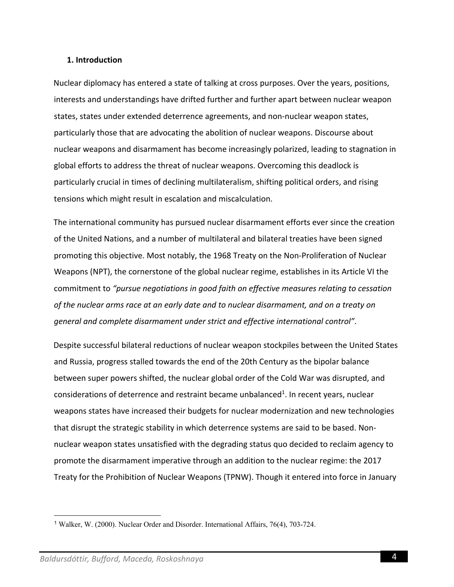### **1. Introduction**

Nuclear diplomacy has entered a state of talking at cross purposes. Over the years, positions, interests and understandings have drifted further and further apart between nuclear weapon states, states under extended deterrence agreements, and non-nuclear weapon states, particularly those that are advocating the abolition of nuclear weapons. Discourse about nuclear weapons and disarmament has become increasingly polarized, leading to stagnation in global efforts to address the threat of nuclear weapons. Overcoming this deadlock is particularly crucial in times of declining multilateralism, shifting political orders, and rising tensions which might result in escalation and miscalculation.

The international community has pursued nuclear disarmament efforts ever since the creation of the United Nations, and a number of multilateral and bilateral treaties have been signed promoting this objective. Most notably, the 1968 Treaty on the Non-Proliferation of Nuclear Weapons (NPT), the cornerstone of the global nuclear regime, establishes in its Article VI the commitment to *"pursue negotiations in good faith on effective measures relating to cessation of the nuclear arms race at an early date and to nuclear disarmament, and on a treaty on general and complete disarmament under strict and effective international control"*.

Despite successful bilateral reductions of nuclear weapon stockpiles between the United States and Russia, progress stalled towards the end of the 20th Century as the bipolar balance between super powers shifted, the nuclear global order of the Cold War was disrupted, and considerations of deterrence and restraint became unbalanced<sup>1</sup>. In recent years, nuclear weapons states have increased their budgets for nuclear modernization and new technologies that disrupt the strategic stability in which deterrence systems are said to be based. Nonnuclear weapon states unsatisfied with the degrading status quo decided to reclaim agency to promote the disarmament imperative through an addition to the nuclear regime: the 2017 Treaty for the Prohibition of Nuclear Weapons (TPNW). Though it entered into force in January

<sup>1</sup> Walker, W. (2000). Nuclear Order and Disorder. International Affairs, 76(4), 703-724.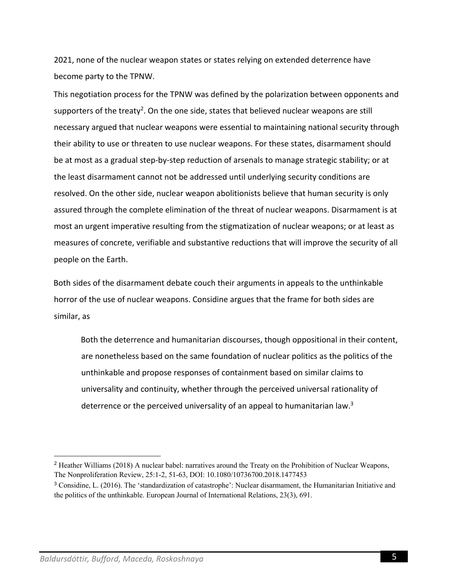2021, none of the nuclear weapon states or states relying on extended deterrence have become party to the TPNW.

This negotiation process for the TPNW was defined by the polarization between opponents and supporters of the treaty<sup>2</sup>. On the one side, states that believed nuclear weapons are still necessary argued that nuclear weapons were essential to maintaining national security through their ability to use or threaten to use nuclear weapons. For these states, disarmament should be at most as a gradual step-by-step reduction of arsenals to manage strategic stability; or at the least disarmament cannot not be addressed until underlying security conditions are resolved. On the other side, nuclear weapon abolitionists believe that human security is only assured through the complete elimination of the threat of nuclear weapons. Disarmament is at most an urgent imperative resulting from the stigmatization of nuclear weapons; or at least as measures of concrete, verifiable and substantive reductions that will improve the security of all people on the Earth.

Both sides of the disarmament debate couch their arguments in appeals to the unthinkable horror of the use of nuclear weapons. Considine argues that the frame for both sides are similar, as

Both the deterrence and humanitarian discourses, though oppositional in their content, are nonetheless based on the same foundation of nuclear politics as the politics of the unthinkable and propose responses of containment based on similar claims to universality and continuity, whether through the perceived universal rationality of deterrence or the perceived universality of an appeal to humanitarian law. $3$ 

<sup>2</sup> Heather Williams (2018) A nuclear babel: narratives around the Treaty on the Prohibition of Nuclear Weapons, The Nonproliferation Review, 25:1-2, 51-63, DOI: 10.1080/10736700.2018.1477453

<sup>3</sup> Considine, L. (2016). The 'standardization of catastrophe': Nuclear disarmament, the Humanitarian Initiative and the politics of the unthinkable. European Journal of International Relations, 23(3), 691.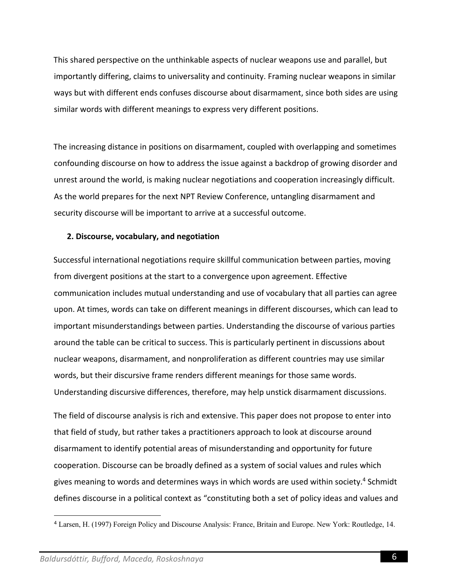This shared perspective on the unthinkable aspects of nuclear weapons use and parallel, but importantly differing, claims to universality and continuity. Framing nuclear weapons in similar ways but with different ends confuses discourse about disarmament, since both sides are using similar words with different meanings to express very different positions.

The increasing distance in positions on disarmament, coupled with overlapping and sometimes confounding discourse on how to address the issue against a backdrop of growing disorder and unrest around the world, is making nuclear negotiations and cooperation increasingly difficult. As the world prepares for the next NPT Review Conference, untangling disarmament and security discourse will be important to arrive at a successful outcome.

#### **2. Discourse, vocabulary, and negotiation**

Successful international negotiations require skillful communication between parties, moving from divergent positions at the start to a convergence upon agreement. Effective communication includes mutual understanding and use of vocabulary that all parties can agree upon. At times, words can take on different meanings in different discourses, which can lead to important misunderstandings between parties. Understanding the discourse of various parties around the table can be critical to success. This is particularly pertinent in discussions about nuclear weapons, disarmament, and nonproliferation as different countries may use similar words, but their discursive frame renders different meanings for those same words. Understanding discursive differences, therefore, may help unstick disarmament discussions.

The field of discourse analysis is rich and extensive. This paper does not propose to enter into that field of study, but rather takes a practitioners approach to look at discourse around disarmament to identify potential areas of misunderstanding and opportunity for future cooperation. Discourse can be broadly defined as a system of social values and rules which gives meaning to words and determines ways in which words are used within society.<sup>4</sup> Schmidt defines discourse in a political context as "constituting both a set of policy ideas and values and

<sup>4</sup> Larsen, H. (1997) Foreign Policy and Discourse Analysis: France, Britain and Europe. New York: Routledge, 14.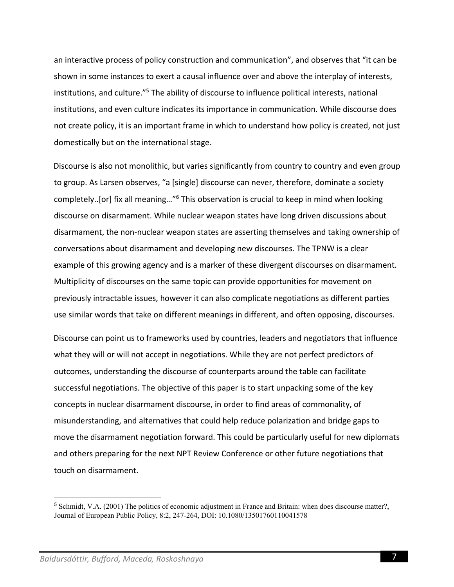an interactive process of policy construction and communication", and observes that "it can be shown in some instances to exert a causal influence over and above the interplay of interests, institutions, and culture."<sup>5</sup> The ability of discourse to influence political interests, national institutions, and even culture indicates its importance in communication. While discourse does not create policy, it is an important frame in which to understand how policy is created, not just domestically but on the international stage.

Discourse is also not monolithic, but varies significantly from country to country and even group to group. As Larsen observes, "a [single] discourse can never, therefore, dominate a society completely..[or] fix all meaning…"6 This observation is crucial to keep in mind when looking discourse on disarmament. While nuclear weapon states have long driven discussions about disarmament, the non-nuclear weapon states are asserting themselves and taking ownership of conversations about disarmament and developing new discourses. The TPNW is a clear example of this growing agency and is a marker of these divergent discourses on disarmament. Multiplicity of discourses on the same topic can provide opportunities for movement on previously intractable issues, however it can also complicate negotiations as different parties use similar words that take on different meanings in different, and often opposing, discourses.

Discourse can point us to frameworks used by countries, leaders and negotiators that influence what they will or will not accept in negotiations. While they are not perfect predictors of outcomes, understanding the discourse of counterparts around the table can facilitate successful negotiations. The objective of this paper is to start unpacking some of the key concepts in nuclear disarmament discourse, in order to find areas of commonality, of misunderstanding, and alternatives that could help reduce polarization and bridge gaps to move the disarmament negotiation forward. This could be particularly useful for new diplomats and others preparing for the next NPT Review Conference or other future negotiations that touch on disarmament.

<sup>5</sup> Schmidt, V.A. (2001) The politics of economic adjustment in France and Britain: when does discourse matter?, Journal of European Public Policy, 8:2, 247-264, DOI: 10.1080/13501760110041578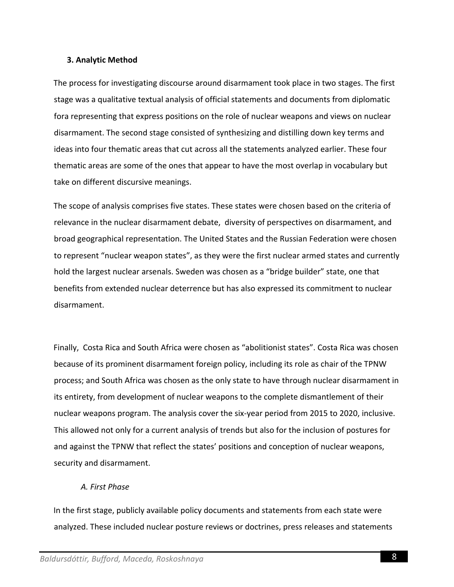## **3. Analytic Method**

The process for investigating discourse around disarmament took place in two stages. The first stage was a qualitative textual analysis of official statements and documents from diplomatic fora representing that express positions on the role of nuclear weapons and views on nuclear disarmament. The second stage consisted of synthesizing and distilling down key terms and ideas into four thematic areas that cut across all the statements analyzed earlier. These four thematic areas are some of the ones that appear to have the most overlap in vocabulary but take on different discursive meanings.

The scope of analysis comprises five states. These states were chosen based on the criteria of relevance in the nuclear disarmament debate, diversity of perspectives on disarmament, and broad geographical representation. The United States and the Russian Federation were chosen to represent "nuclear weapon states", as they were the first nuclear armed states and currently hold the largest nuclear arsenals. Sweden was chosen as a "bridge builder" state, one that benefits from extended nuclear deterrence but has also expressed its commitment to nuclear disarmament.

Finally, Costa Rica and South Africa were chosen as "abolitionist states". Costa Rica was chosen because of its prominent disarmament foreign policy, including its role as chair of the TPNW process; and South Africa was chosen as the only state to have through nuclear disarmament in its entirety, from development of nuclear weapons to the complete dismantlement of their nuclear weapons program. The analysis cover the six-year period from 2015 to 2020, inclusive. This allowed not only for a current analysis of trends but also for the inclusion of postures for and against the TPNW that reflect the states' positions and conception of nuclear weapons, security and disarmament.

## *A. First Phase*

In the first stage, publicly available policy documents and statements from each state were analyzed. These included nuclear posture reviews or doctrines, press releases and statements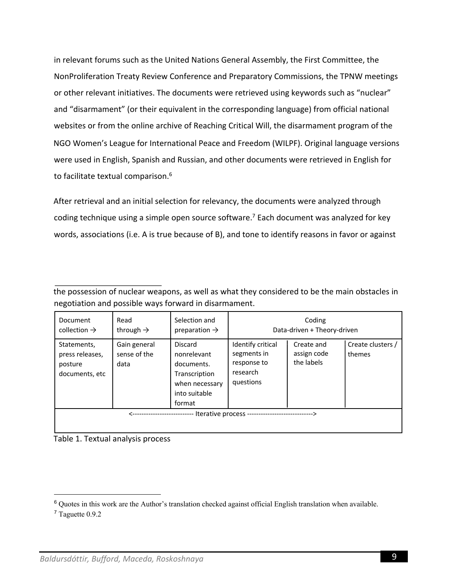in relevant forums such as the United Nations General Assembly, the First Committee, the NonProliferation Treaty Review Conference and Preparatory Commissions, the TPNW meetings or other relevant initiatives. The documents were retrieved using keywords such as "nuclear" and "disarmament" (or their equivalent in the corresponding language) from official national websites or from the online archive of Reaching Critical Will, the disarmament program of the NGO Women's League for International Peace and Freedom (WILPF). Original language versions were used in English, Spanish and Russian, and other documents were retrieved in English for to facilitate textual comparison.<sup>6</sup>

After retrieval and an initial selection for relevancy, the documents were analyzed through coding technique using a simple open source software.<sup>7</sup> Each document was analyzed for key words, associations (i.e. A is true because of B), and tone to identify reasons in favor or against

the possession of nuclear weapons, as well as what they considered to be the main obstacles in negotiation and possible ways forward in disarmament.

| Document<br>collection $\rightarrow$                                         | Read<br>through $\rightarrow$        | Selection and<br>preparation $\rightarrow$                                                         | Coding<br>Data-driven + Theory-driven                                    |                                         |                             |
|------------------------------------------------------------------------------|--------------------------------------|----------------------------------------------------------------------------------------------------|--------------------------------------------------------------------------|-----------------------------------------|-----------------------------|
| Statements,<br>press releases,<br>posture<br>documents, etc                  | Gain general<br>sense of the<br>data | Discard<br>nonrelevant<br>documents.<br>Transcription<br>when necessary<br>into suitable<br>format | Identify critical<br>segments in<br>response to<br>research<br>questions | Create and<br>assign code<br>the labels | Create clusters /<br>themes |
| Iterative process ------------------------------><br><---------------------- |                                      |                                                                                                    |                                                                          |                                         |                             |

Table 1. Textual analysis process

<sup>&</sup>lt;sup>6</sup> Quotes in this work are the Author's translation checked against official English translation when available.

<sup>7</sup> Taguette 0.9.2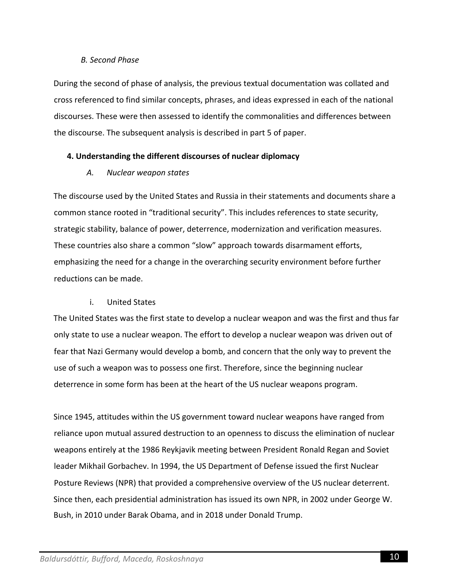## *B. Second Phase*

During the second of phase of analysis, the previous textual documentation was collated and cross referenced to find similar concepts, phrases, and ideas expressed in each of the national discourses. These were then assessed to identify the commonalities and differences between the discourse. The subsequent analysis is described in part 5 of paper.

## **4. Understanding the different discourses of nuclear diplomacy**

## *A. Nuclear weapon states*

The discourse used by the United States and Russia in their statements and documents share a common stance rooted in "traditional security". This includes references to state security, strategic stability, balance of power, deterrence, modernization and verification measures. These countries also share a common "slow" approach towards disarmament efforts, emphasizing the need for a change in the overarching security environment before further reductions can be made.

## i. United States

The United States was the first state to develop a nuclear weapon and was the first and thus far only state to use a nuclear weapon. The effort to develop a nuclear weapon was driven out of fear that Nazi Germany would develop a bomb, and concern that the only way to prevent the use of such a weapon was to possess one first. Therefore, since the beginning nuclear deterrence in some form has been at the heart of the US nuclear weapons program.

Since 1945, attitudes within the US government toward nuclear weapons have ranged from reliance upon mutual assured destruction to an openness to discuss the elimination of nuclear weapons entirely at the 1986 Reykjavik meeting between President Ronald Regan and Soviet leader Mikhail Gorbachev. In 1994, the US Department of Defense issued the first Nuclear Posture Reviews (NPR) that provided a comprehensive overview of the US nuclear deterrent. Since then, each presidential administration has issued its own NPR, in 2002 under George W. Bush, in 2010 under Barak Obama, and in 2018 under Donald Trump.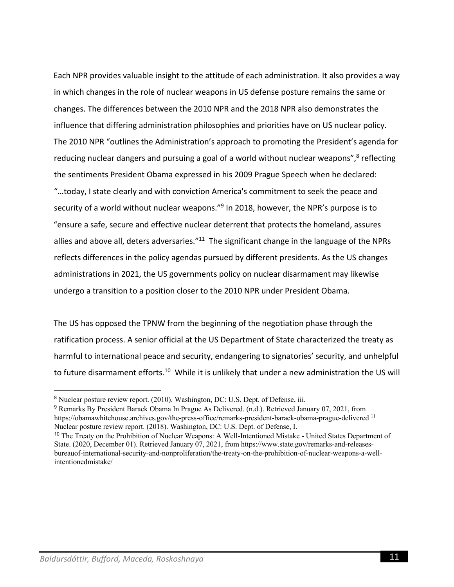Each NPR provides valuable insight to the attitude of each administration. It also provides a way in which changes in the role of nuclear weapons in US defense posture remains the same or changes. The differences between the 2010 NPR and the 2018 NPR also demonstrates the influence that differing administration philosophies and priorities have on US nuclear policy. The 2010 NPR "outlines the Administration's approach to promoting the President's agenda for reducing nuclear dangers and pursuing a goal of a world without nuclear weapons",<sup>8</sup> reflecting the sentiments President Obama expressed in his 2009 Prague Speech when he declared: "…today, I state clearly and with conviction America's commitment to seek the peace and security of a world without nuclear weapons."<sup>9</sup> In 2018, however, the NPR's purpose is to "ensure a safe, secure and effective nuclear deterrent that protects the homeland, assures allies and above all, deters adversaries.<sup>"11</sup> The significant change in the language of the NPRs reflects differences in the policy agendas pursued by different presidents. As the US changes administrations in 2021, the US governments policy on nuclear disarmament may likewise undergo a transition to a position closer to the 2010 NPR under President Obama.

The US has opposed the TPNW from the beginning of the negotiation phase through the ratification process. A senior official at the US Department of State characterized the treaty as harmful to international peace and security, endangering to signatories' security, and unhelpful to future disarmament efforts.<sup>10</sup> While it is unlikely that under a new administration the US will

<sup>9</sup> Remarks By President Barack Obama In Prague As Delivered. (n.d.). Retrieved January 07, 2021, from https://obamawhitehouse.archives.gov/the-press-office/remarks-president-barack-obama-prague-delivered 11 Nuclear posture review report. (2018). Washington, DC: U.S. Dept. of Defense, I.

<sup>&</sup>lt;sup>8</sup> Nuclear posture review report. (2010). Washington, DC: U.S. Dept. of Defense, iii.

<sup>&</sup>lt;sup>10</sup> The Treaty on the Prohibition of Nuclear Weapons: A Well-Intentioned Mistake - United States Department of State. (2020, December 01). Retrieved January 07, 2021, from https://www.state.gov/remarks-and-releasesbureauof-international-security-and-nonproliferation/the-treaty-on-the-prohibition-of-nuclear-weapons-a-wellintentionedmistake/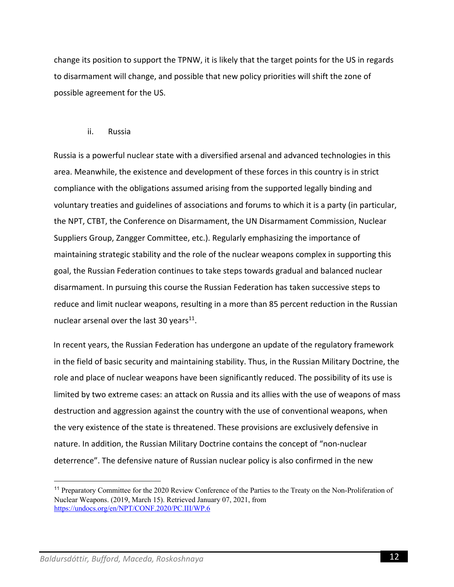change its position to support the TPNW, it is likely that the target points for the US in regards to disarmament will change, and possible that new policy priorities will shift the zone of possible agreement for the US.

#### ii. Russia

Russia is a powerful nuclear state with a diversified arsenal and advanced technologies in this area. Meanwhile, the existence and development of these forces in this country is in strict compliance with the obligations assumed arising from the supported legally binding and voluntary treaties and guidelines of associations and forums to which it is a party (in particular, the NPT, CTBT, the Conference on Disarmament, the UN Disarmament Commission, Nuclear Suppliers Group, Zangger Committee, etc.). Regularly emphasizing the importance of maintaining strategic stability and the role of the nuclear weapons complex in supporting this goal, the Russian Federation continues to take steps towards gradual and balanced nuclear disarmament. In pursuing this course the Russian Federation has taken successive steps to reduce and limit nuclear weapons, resulting in a more than 85 percent reduction in the Russian nuclear arsenal over the last 30 years $^{11}$ .

In recent years, the Russian Federation has undergone an update of the regulatory framework in the field of basic security and maintaining stability. Thus, in the Russian Military Doctrine, the role and place of nuclear weapons have been significantly reduced. The possibility of its use is limited by two extreme cases: an attack on Russia and its allies with the use of weapons of mass destruction and aggression against the country with the use of conventional weapons, when the very existence of the state is threatened. These provisions are exclusively defensive in nature. In addition, the Russian Military Doctrine contains the concept of "non-nuclear deterrence". The defensive nature of Russian nuclear policy is also confirmed in the new

<sup>&</sup>lt;sup>11</sup> Preparatory Committee for the 2020 Review Conference of the Parties to the Treaty on the Non-Proliferation of Nuclear Weapons. (2019, March 15). Retrieved January 07, 2021, from https://undocs.org/en/NPT/CONF.2020/PC.III/WP.6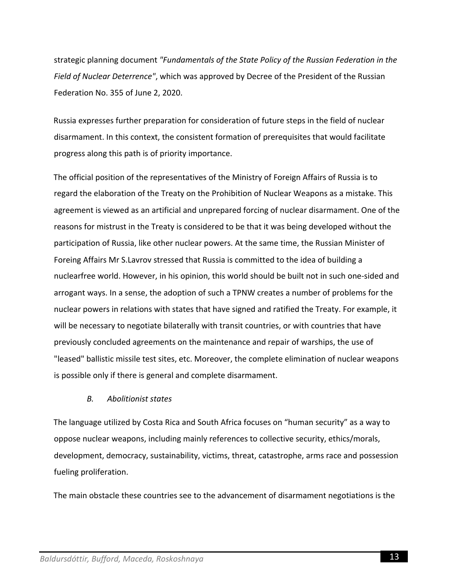strategic planning document *"Fundamentals of the State Policy of the Russian Federation in the Field of Nuclear Deterrence"*, which was approved by Decree of the President of the Russian Federation No. 355 of June 2, 2020.

Russia expresses further preparation for consideration of future steps in the field of nuclear disarmament. In this context, the consistent formation of prerequisites that would facilitate progress along this path is of priority importance.

The official position of the representatives of the Ministry of Foreign Affairs of Russia is to regard the elaboration of the Treaty on the Prohibition of Nuclear Weapons as a mistake. This agreement is viewed as an artificial and unprepared forcing of nuclear disarmament. One of the reasons for mistrust in the Treaty is considered to be that it was being developed without the participation of Russia, like other nuclear powers. At the same time, the Russian Minister of Foreing Affairs Mr S.Lavrov stressed that Russia is committed to the idea of building a nuclearfree world. However, in his opinion, this world should be built not in such one-sided and arrogant ways. In a sense, the adoption of such a TPNW creates a number of problems for the nuclear powers in relations with states that have signed and ratified the Treaty. For example, it will be necessary to negotiate bilaterally with transit countries, or with countries that have previously concluded agreements on the maintenance and repair of warships, the use of "leased" ballistic missile test sites, etc. Moreover, the complete elimination of nuclear weapons is possible only if there is general and complete disarmament.

## *B. Abolitionist states*

The language utilized by Costa Rica and South Africa focuses on "human security" as a way to oppose nuclear weapons, including mainly references to collective security, ethics/morals, development, democracy, sustainability, victims, threat, catastrophe, arms race and possession fueling proliferation.

The main obstacle these countries see to the advancement of disarmament negotiations is the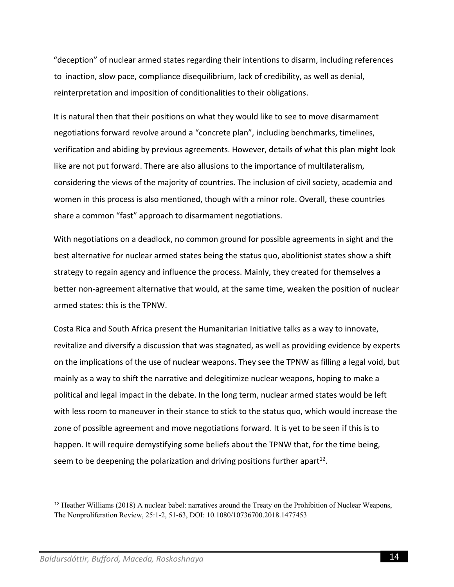"deception" of nuclear armed states regarding their intentions to disarm, including references to inaction, slow pace, compliance disequilibrium, lack of credibility, as well as denial, reinterpretation and imposition of conditionalities to their obligations.

It is natural then that their positions on what they would like to see to move disarmament negotiations forward revolve around a "concrete plan", including benchmarks, timelines, verification and abiding by previous agreements. However, details of what this plan might look like are not put forward. There are also allusions to the importance of multilateralism, considering the views of the majority of countries. The inclusion of civil society, academia and women in this process is also mentioned, though with a minor role. Overall, these countries share a common "fast" approach to disarmament negotiations.

With negotiations on a deadlock, no common ground for possible agreements in sight and the best alternative for nuclear armed states being the status quo, abolitionist states show a shift strategy to regain agency and influence the process. Mainly, they created for themselves a better non-agreement alternative that would, at the same time, weaken the position of nuclear armed states: this is the TPNW.

Costa Rica and South Africa present the Humanitarian Initiative talks as a way to innovate, revitalize and diversify a discussion that was stagnated, as well as providing evidence by experts on the implications of the use of nuclear weapons. They see the TPNW as filling a legal void, but mainly as a way to shift the narrative and delegitimize nuclear weapons, hoping to make a political and legal impact in the debate. In the long term, nuclear armed states would be left with less room to maneuver in their stance to stick to the status quo, which would increase the zone of possible agreement and move negotiations forward. It is yet to be seen if this is to happen. It will require demystifying some beliefs about the TPNW that, for the time being, seem to be deepening the polarization and driving positions further apart<sup>12</sup>.

<sup>&</sup>lt;sup>12</sup> Heather Williams (2018) A nuclear babel: narratives around the Treaty on the Prohibition of Nuclear Weapons, The Nonproliferation Review, 25:1-2, 51-63, DOI: 10.1080/10736700.2018.1477453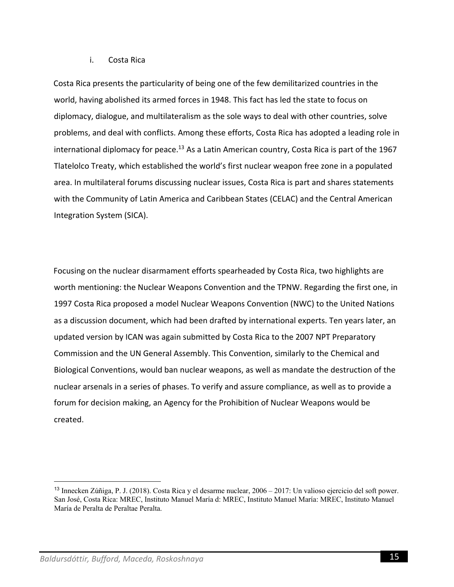### i. Costa Rica

Costa Rica presents the particularity of being one of the few demilitarized countries in the world, having abolished its armed forces in 1948. This fact has led the state to focus on diplomacy, dialogue, and multilateralism as the sole ways to deal with other countries, solve problems, and deal with conflicts. Among these efforts, Costa Rica has adopted a leading role in international diplomacy for peace.<sup>13</sup> As a Latin American country, Costa Rica is part of the 1967 Tlatelolco Treaty, which established the world's first nuclear weapon free zone in a populated area. In multilateral forums discussing nuclear issues, Costa Rica is part and shares statements with the Community of Latin America and Caribbean States (CELAC) and the Central American Integration System (SICA).

Focusing on the nuclear disarmament efforts spearheaded by Costa Rica, two highlights are worth mentioning: the Nuclear Weapons Convention and the TPNW. Regarding the first one, in 1997 Costa Rica proposed a model Nuclear Weapons Convention (NWC) to the United Nations as a discussion document, which had been drafted by international experts. Ten years later, an updated version by ICAN was again submitted by Costa Rica to the 2007 NPT Preparatory Commission and the UN General Assembly. This Convention, similarly to the Chemical and Biological Conventions, would ban nuclear weapons, as well as mandate the destruction of the nuclear arsenals in a series of phases. To verify and assure compliance, as well as to provide a forum for decision making, an Agency for the Prohibition of Nuclear Weapons would be created.

 $13$  Innecken Zúñiga, P. J. (2018). Costa Rica y el desarme nuclear, 2006 – 2017: Un valioso ejercicio del soft power. San José, Costa Rica: MREC, Instituto Manuel María d: MREC, Instituto Manuel María: MREC, Instituto Manuel María de Peralta de Peraltae Peralta.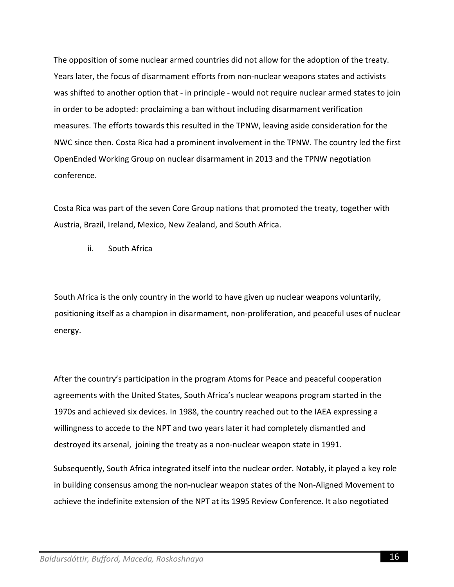The opposition of some nuclear armed countries did not allow for the adoption of the treaty. Years later, the focus of disarmament efforts from non-nuclear weapons states and activists was shifted to another option that - in principle - would not require nuclear armed states to join in order to be adopted: proclaiming a ban without including disarmament verification measures. The efforts towards this resulted in the TPNW, leaving aside consideration for the NWC since then. Costa Rica had a prominent involvement in the TPNW. The country led the first OpenEnded Working Group on nuclear disarmament in 2013 and the TPNW negotiation conference.

Costa Rica was part of the seven Core Group nations that promoted the treaty, together with Austria, Brazil, Ireland, Mexico, New Zealand, and South Africa.

ii. South Africa

South Africa is the only country in the world to have given up nuclear weapons voluntarily, positioning itself as a champion in disarmament, non-proliferation, and peaceful uses of nuclear energy.

After the country's participation in the program Atoms for Peace and peaceful cooperation agreements with the United States, South Africa's nuclear weapons program started in the 1970s and achieved six devices. In 1988, the country reached out to the IAEA expressing a willingness to accede to the NPT and two years later it had completely dismantled and destroyed its arsenal, joining the treaty as a non-nuclear weapon state in 1991.

Subsequently, South Africa integrated itself into the nuclear order. Notably, it played a key role in building consensus among the non-nuclear weapon states of the Non-Aligned Movement to achieve the indefinite extension of the NPT at its 1995 Review Conference. It also negotiated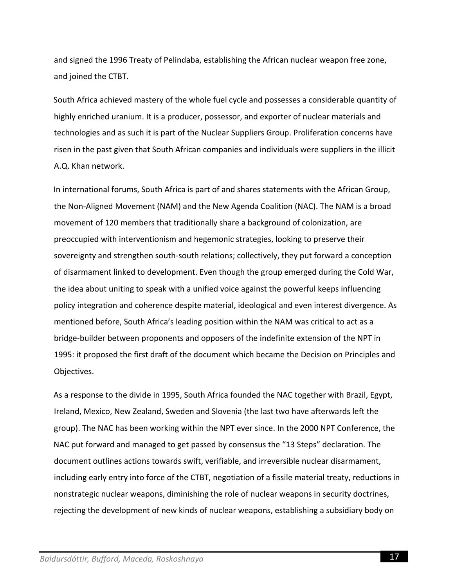and signed the 1996 Treaty of Pelindaba, establishing the African nuclear weapon free zone, and joined the CTBT.

South Africa achieved mastery of the whole fuel cycle and possesses a considerable quantity of highly enriched uranium. It is a producer, possessor, and exporter of nuclear materials and technologies and as such it is part of the Nuclear Suppliers Group. Proliferation concerns have risen in the past given that South African companies and individuals were suppliers in the illicit A.Q. Khan network.

In international forums, South Africa is part of and shares statements with the African Group, the Non-Aligned Movement (NAM) and the New Agenda Coalition (NAC). The NAM is a broad movement of 120 members that traditionally share a background of colonization, are preoccupied with interventionism and hegemonic strategies, looking to preserve their sovereignty and strengthen south-south relations; collectively, they put forward a conception of disarmament linked to development. Even though the group emerged during the Cold War, the idea about uniting to speak with a unified voice against the powerful keeps influencing policy integration and coherence despite material, ideological and even interest divergence. As mentioned before, South Africa's leading position within the NAM was critical to act as a bridge-builder between proponents and opposers of the indefinite extension of the NPT in 1995: it proposed the first draft of the document which became the Decision on Principles and Objectives.

As a response to the divide in 1995, South Africa founded the NAC together with Brazil, Egypt, Ireland, Mexico, New Zealand, Sweden and Slovenia (the last two have afterwards left the group). The NAC has been working within the NPT ever since. In the 2000 NPT Conference, the NAC put forward and managed to get passed by consensus the "13 Steps" declaration. The document outlines actions towards swift, verifiable, and irreversible nuclear disarmament, including early entry into force of the CTBT, negotiation of a fissile material treaty, reductions in nonstrategic nuclear weapons, diminishing the role of nuclear weapons in security doctrines, rejecting the development of new kinds of nuclear weapons, establishing a subsidiary body on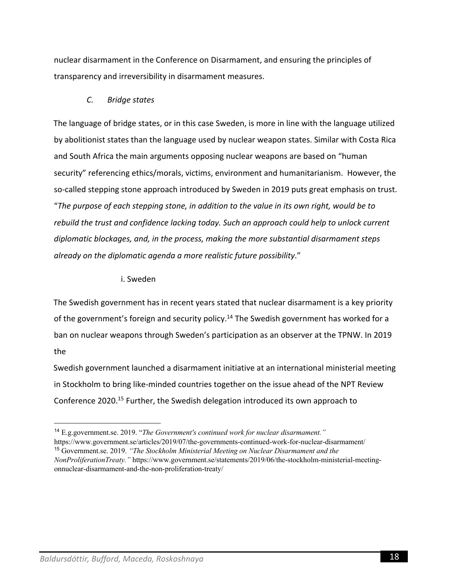nuclear disarmament in the Conference on Disarmament, and ensuring the principles of transparency and irreversibility in disarmament measures.

### *C. Bridge states*

The language of bridge states, or in this case Sweden, is more in line with the language utilized by abolitionist states than the language used by nuclear weapon states. Similar with Costa Rica and South Africa the main arguments opposing nuclear weapons are based on "human security" referencing ethics/morals, victims, environment and humanitarianism. However, the so-called stepping stone approach introduced by Sweden in 2019 puts great emphasis on trust. "*The purpose of each stepping stone, in addition to the value in its own right, would be to rebuild the trust and confidence lacking today. Such an approach could help to unlock current diplomatic blockages, and, in the process, making the more substantial disarmament steps already on the diplomatic agenda a more realistic future possibility*."

#### i. Sweden

The Swedish government has in recent years stated that nuclear disarmament is a key priority of the government's foreign and security policy.<sup>14</sup> The Swedish government has worked for a ban on nuclear weapons through Sweden's participation as an observer at the TPNW. In 2019 the

Swedish government launched a disarmament initiative at an international ministerial meeting in Stockholm to bring like-minded countries together on the issue ahead of the NPT Review Conference 2020.15 Further, the Swedish delegation introduced its own approach to

https://www.government.se/articles/2019/07/the-governments-continued-work-for-nuclear-disarmament/ <sup>15</sup> Government.se. 2019. *"The Stockholm Ministerial Meeting on Nuclear Disarmament and the NonProliferationTreaty."* https://www.government.se/statements/2019/06/the-stockholm-ministerial-meetingonnuclear-disarmament-and-the-non-proliferation-treaty/

<sup>14</sup> E.g.government.se. 2019. "*The Government's continued work for nuclear disarmament."*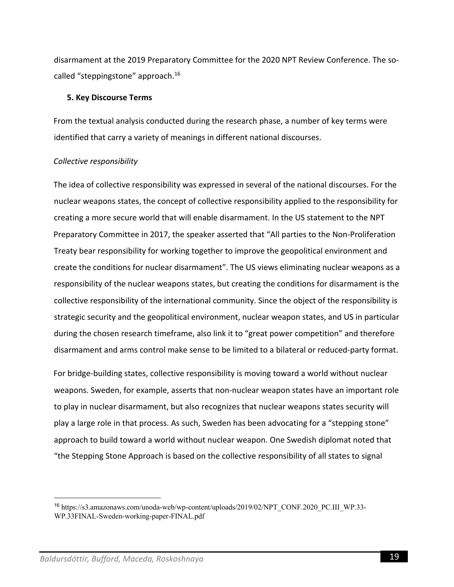disarmament at the 2019 Preparatory Committee for the 2020 NPT Review Conference. The socalled "steppingstone" approach.<sup>16</sup>

### **5. Key Discourse Terms**

From the textual analysis conducted during the research phase, a number of key terms were identified that carry a variety of meanings in different national discourses.

#### *Collective responsibility*

The idea of collective responsibility was expressed in several of the national discourses. For the nuclear weapons states, the concept of collective responsibility applied to the responsibility for creating a more secure world that will enable disarmament. In the US statement to the NPT Preparatory Committee in 2017, the speaker asserted that "All parties to the Non-Proliferation Treaty bear responsibility for working together to improve the geopolitical environment and create the conditions for nuclear disarmament". The US views eliminating nuclear weapons as a responsibility of the nuclear weapons states, but creating the conditions for disarmament is the collective responsibility of the international community. Since the object of the responsibility is strategic security and the geopolitical environment, nuclear weapon states, and US in particular during the chosen research timeframe, also link it to "great power competition" and therefore disarmament and arms control make sense to be limited to a bilateral or reduced-party format.

For bridge-building states, collective responsibility is moving toward a world without nuclear weapons. Sweden, for example, asserts that non-nuclear weapon states have an important role to play in nuclear disarmament, but also recognizes that nuclear weapons states security will play a large role in that process. As such, Sweden has been advocating for a "stepping stone" approach to build toward a world without nuclear weapon. One Swedish diplomat noted that "the Stepping Stone Approach is based on the collective responsibility of all states to signal

<sup>&</sup>lt;sup>16</sup> https://s3.amazonaws.com/unoda-web/wp-content/uploads/2019/02/NPT\_CONF.2020\_PC.III\_WP.33-WP.33FINAL-Sweden-working-paper-FINAL.pdf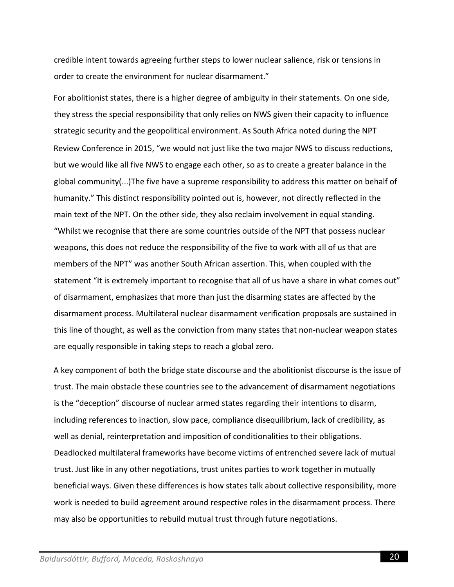credible intent towards agreeing further steps to lower nuclear salience, risk or tensions in order to create the environment for nuclear disarmament."

For abolitionist states, there is a higher degree of ambiguity in their statements. On one side, they stress the special responsibility that only relies on NWS given their capacity to influence strategic security and the geopolitical environment. As South Africa noted during the NPT Review Conference in 2015, "we would not just like the two major NWS to discuss reductions, but we would like all five NWS to engage each other, so as to create a greater balance in the global community(...)The five have a supreme responsibility to address this matter on behalf of humanity." This distinct responsibility pointed out is, however, not directly reflected in the main text of the NPT. On the other side, they also reclaim involvement in equal standing. "Whilst we recognise that there are some countries outside of the NPT that possess nuclear weapons, this does not reduce the responsibility of the five to work with all of us that are members of the NPT" was another South African assertion. This, when coupled with the statement "It is extremely important to recognise that all of us have a share in what comes out" of disarmament, emphasizes that more than just the disarming states are affected by the disarmament process. Multilateral nuclear disarmament verification proposals are sustained in this line of thought, as well as the conviction from many states that non-nuclear weapon states are equally responsible in taking steps to reach a global zero.

A key component of both the bridge state discourse and the abolitionist discourse is the issue of trust. The main obstacle these countries see to the advancement of disarmament negotiations is the "deception" discourse of nuclear armed states regarding their intentions to disarm, including references to inaction, slow pace, compliance disequilibrium, lack of credibility, as well as denial, reinterpretation and imposition of conditionalities to their obligations. Deadlocked multilateral frameworks have become victims of entrenched severe lack of mutual trust. Just like in any other negotiations, trust unites parties to work together in mutually beneficial ways. Given these differences is how states talk about collective responsibility, more work is needed to build agreement around respective roles in the disarmament process. There may also be opportunities to rebuild mutual trust through future negotiations.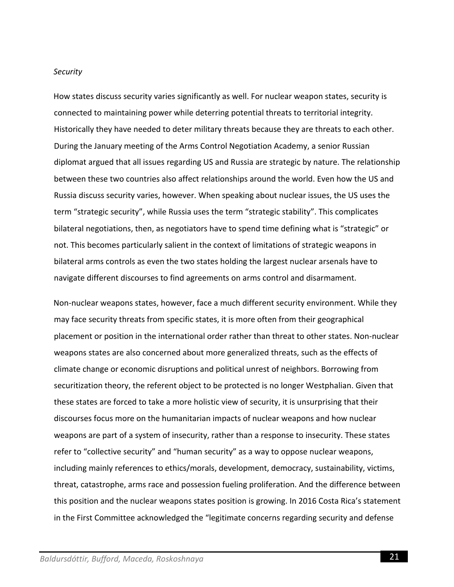#### *Security*

How states discuss security varies significantly as well. For nuclear weapon states, security is connected to maintaining power while deterring potential threats to territorial integrity. Historically they have needed to deter military threats because they are threats to each other. During the January meeting of the Arms Control Negotiation Academy, a senior Russian diplomat argued that all issues regarding US and Russia are strategic by nature. The relationship between these two countries also affect relationships around the world. Even how the US and Russia discuss security varies, however. When speaking about nuclear issues, the US uses the term "strategic security", while Russia uses the term "strategic stability". This complicates bilateral negotiations, then, as negotiators have to spend time defining what is "strategic" or not. This becomes particularly salient in the context of limitations of strategic weapons in bilateral arms controls as even the two states holding the largest nuclear arsenals have to navigate different discourses to find agreements on arms control and disarmament.

Non-nuclear weapons states, however, face a much different security environment. While they may face security threats from specific states, it is more often from their geographical placement or position in the international order rather than threat to other states. Non-nuclear weapons states are also concerned about more generalized threats, such as the effects of climate change or economic disruptions and political unrest of neighbors. Borrowing from securitization theory, the referent object to be protected is no longer Westphalian. Given that these states are forced to take a more holistic view of security, it is unsurprising that their discourses focus more on the humanitarian impacts of nuclear weapons and how nuclear weapons are part of a system of insecurity, rather than a response to insecurity. These states refer to "collective security" and "human security" as a way to oppose nuclear weapons, including mainly references to ethics/morals, development, democracy, sustainability, victims, threat, catastrophe, arms race and possession fueling proliferation. And the difference between this position and the nuclear weapons states position is growing. In 2016 Costa Rica's statement in the First Committee acknowledged the "legitimate concerns regarding security and defense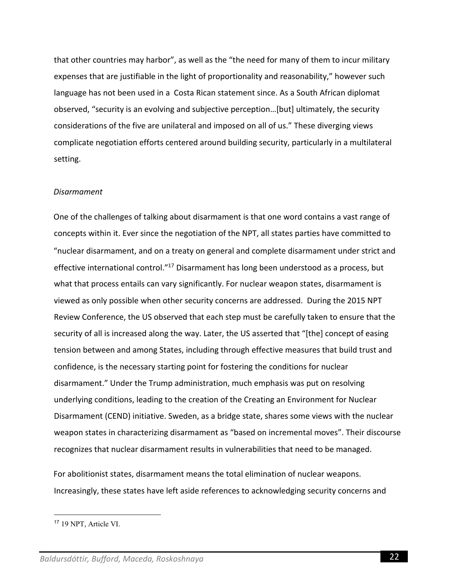that other countries may harbor", as well as the "the need for many of them to incur military expenses that are justifiable in the light of proportionality and reasonability," however such language has not been used in a Costa Rican statement since. As a South African diplomat observed, "security is an evolving and subjective perception…[but] ultimately, the security considerations of the five are unilateral and imposed on all of us." These diverging views complicate negotiation efforts centered around building security, particularly in a multilateral setting.

## *Disarmament*

One of the challenges of talking about disarmament is that one word contains a vast range of concepts within it. Ever since the negotiation of the NPT, all states parties have committed to "nuclear disarmament, and on a treaty on general and complete disarmament under strict and effective international control."<sup>17</sup> Disarmament has long been understood as a process, but what that process entails can vary significantly. For nuclear weapon states, disarmament is viewed as only possible when other security concerns are addressed. During the 2015 NPT Review Conference, the US observed that each step must be carefully taken to ensure that the security of all is increased along the way. Later, the US asserted that "[the] concept of easing tension between and among States, including through effective measures that build trust and confidence, is the necessary starting point for fostering the conditions for nuclear disarmament." Under the Trump administration, much emphasis was put on resolving underlying conditions, leading to the creation of the Creating an Environment for Nuclear Disarmament (CEND) initiative. Sweden, as a bridge state, shares some views with the nuclear weapon states in characterizing disarmament as "based on incremental moves". Their discourse recognizes that nuclear disarmament results in vulnerabilities that need to be managed.

For abolitionist states, disarmament means the total elimination of nuclear weapons. Increasingly, these states have left aside references to acknowledging security concerns and

<sup>17</sup> 19 NPT, Article VI.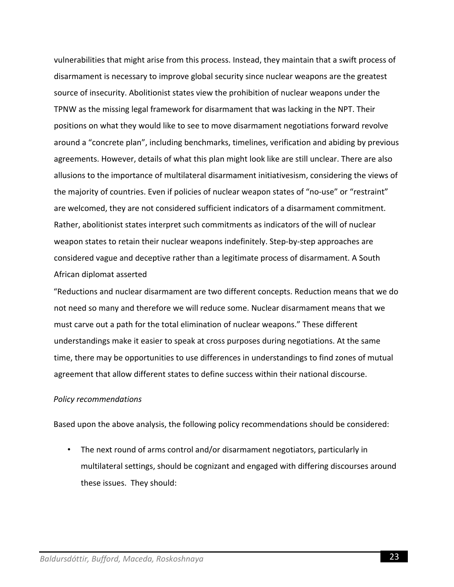vulnerabilities that might arise from this process. Instead, they maintain that a swift process of disarmament is necessary to improve global security since nuclear weapons are the greatest source of insecurity. Abolitionist states view the prohibition of nuclear weapons under the TPNW as the missing legal framework for disarmament that was lacking in the NPT. Their positions on what they would like to see to move disarmament negotiations forward revolve around a "concrete plan", including benchmarks, timelines, verification and abiding by previous agreements. However, details of what this plan might look like are still unclear. There are also allusions to the importance of multilateral disarmament initiativesism, considering the views of the majority of countries. Even if policies of nuclear weapon states of "no-use" or "restraint" are welcomed, they are not considered sufficient indicators of a disarmament commitment. Rather, abolitionist states interpret such commitments as indicators of the will of nuclear weapon states to retain their nuclear weapons indefinitely. Step-by-step approaches are considered vague and deceptive rather than a legitimate process of disarmament. A South African diplomat asserted

"Reductions and nuclear disarmament are two different concepts. Reduction means that we do not need so many and therefore we will reduce some. Nuclear disarmament means that we must carve out a path for the total elimination of nuclear weapons." These different understandings make it easier to speak at cross purposes during negotiations. At the same time, there may be opportunities to use differences in understandings to find zones of mutual agreement that allow different states to define success within their national discourse.

#### *Policy recommendations*

Based upon the above analysis, the following policy recommendations should be considered:

• The next round of arms control and/or disarmament negotiators, particularly in multilateral settings, should be cognizant and engaged with differing discourses around these issues. They should: